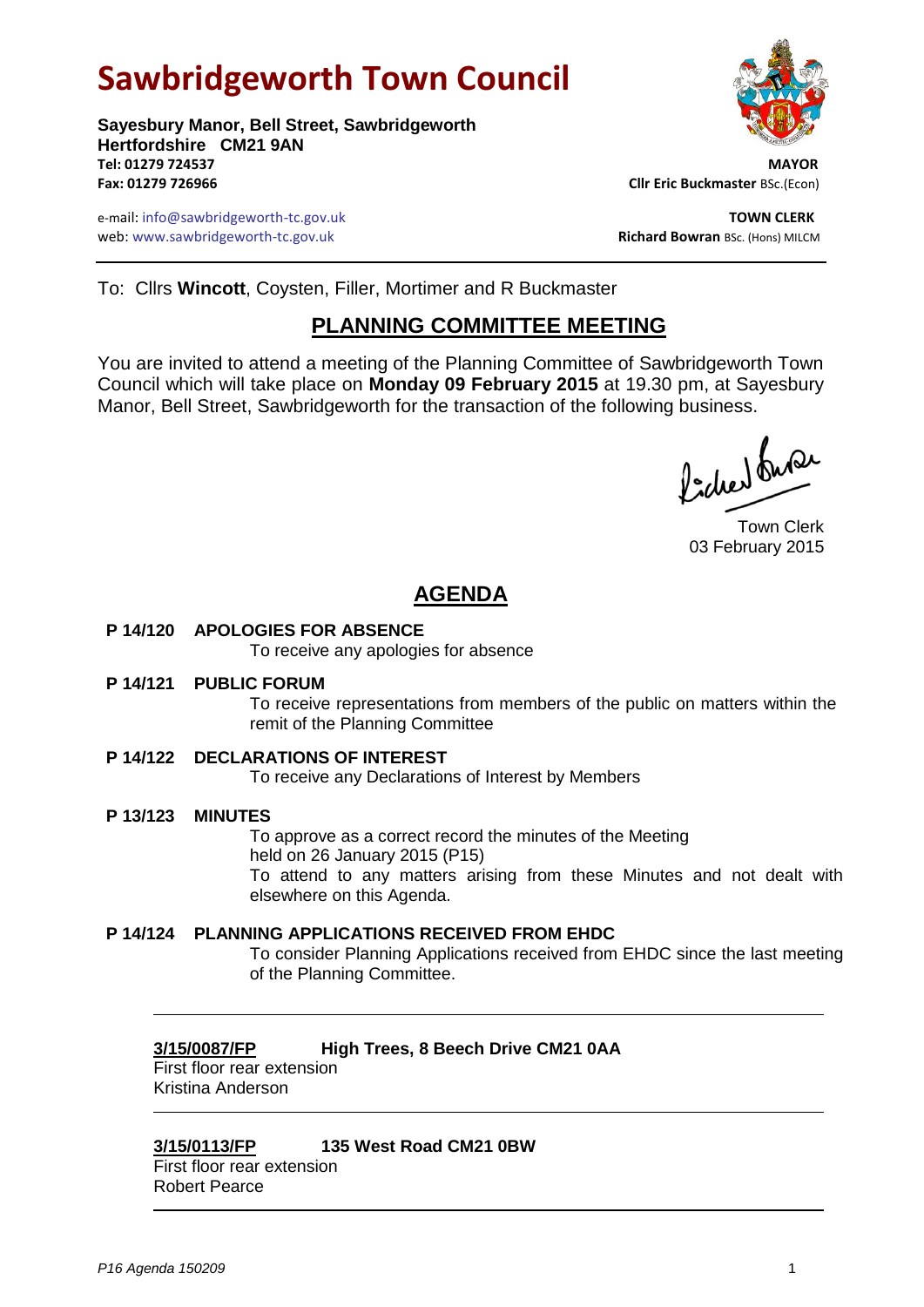# **Sawbridgeworth Town Council**



e-mail: info@sawbridgeworth-tc.gov.uk **TOWN CLERK** web: www.sawbridgeworth-tc.gov.uk **Richard Bowran** BSc. (Hons) MILCM



To: Cllrs **Wincott**, Coysten, Filler, Mortimer and R Buckmaster

## **PLANNING COMMITTEE MEETING**

You are invited to attend a meeting of the Planning Committee of Sawbridgeworth Town Council which will take place on **Monday 09 February 2015** at 19.30 pm, at Sayesbury Manor, Bell Street, Sawbridgeworth for the transaction of the following business.

Picked Super

Town Clerk 03 February 2015

# **AGENDA**

**P 14/120 APOLOGIES FOR ABSENCE**

To receive any apologies for absence

**P 14/121 PUBLIC FORUM**

To receive representations from members of the public on matters within the remit of the Planning Committee

**P 14/122 DECLARATIONS OF INTEREST**

To receive any Declarations of Interest by Members

**P 13/123 MINUTES**

To approve as a correct record the minutes of the Meeting held on 26 January 2015 (P15) To attend to any matters arising from these Minutes and not dealt with elsewhere on this Agenda.

**P 14/124 PLANNING APPLICATIONS RECEIVED FROM EHDC**

To consider Planning Applications received from EHDC since the last meeting of the Planning Committee.

## **3/15/0087/FP High Trees, 8 Beech Drive CM21 0AA**

First floor rear extension Kristina Anderson

## **3/15/0113/FP 135 West Road CM21 0BW**

First floor rear extension Robert Pearce